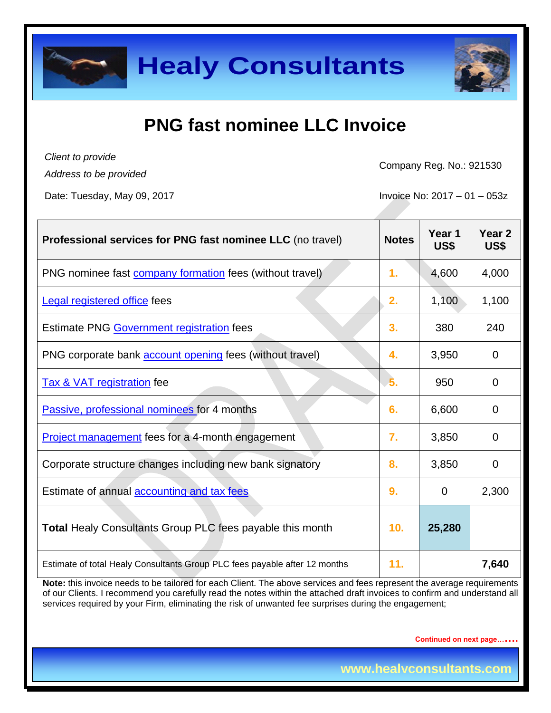### **PNG fast nominee LLC Invoice**

*Client to provide Address to be provided*

Company Reg. No.: 921530

Date: Tuesday, May 09, 2017 **Invoice No: 2017** - 01 – 053z

| Professional services for PNG fast nominee LLC (no travel)                 | <b>Notes</b> | Year 1<br>US\$ | Year <sub>2</sub><br>US\$ |
|----------------------------------------------------------------------------|--------------|----------------|---------------------------|
| PNG nominee fast <b>company formation</b> fees (without travel)            | 1.           | 4,600          | 4,000                     |
| <b>Legal registered office fees</b>                                        | 2.           | 1,100          | 1,100                     |
| Estimate PNG Government registration fees                                  | 3.           | 380            | 240                       |
| PNG corporate bank <b>account opening</b> fees (without travel)            | 4.           | 3,950          | $\Omega$                  |
| <b>Tax &amp; VAT registration fee</b>                                      | 5.           | 950            | 0                         |
| Passive, professional nominees for 4 months                                | 6.           | 6,600          | 0                         |
| Project management fees for a 4-month engagement                           | 7.           | 3,850          | $\Omega$                  |
| Corporate structure changes including new bank signatory                   | 8.           | 3,850          | $\Omega$                  |
| Estimate of annual accounting and tax fees                                 | 9.           | $\overline{0}$ | 2,300                     |
| Total Healy Consultants Group PLC fees payable this month                  | 10.          | 25,280         |                           |
| Estimate of total Healy Consultants Group PLC fees payable after 12 months | 11.          |                | 7,640                     |

**Note:** this invoice needs to be tailored for each Client. The above services and fees represent the average requirements of our Clients. I recommend you carefully read the notes within the attached draft invoices to confirm and understand all services required by your Firm, eliminating the risk of unwanted fee surprises during the engagement;

**Continued on next page…….**

**www.healyconsultants.com**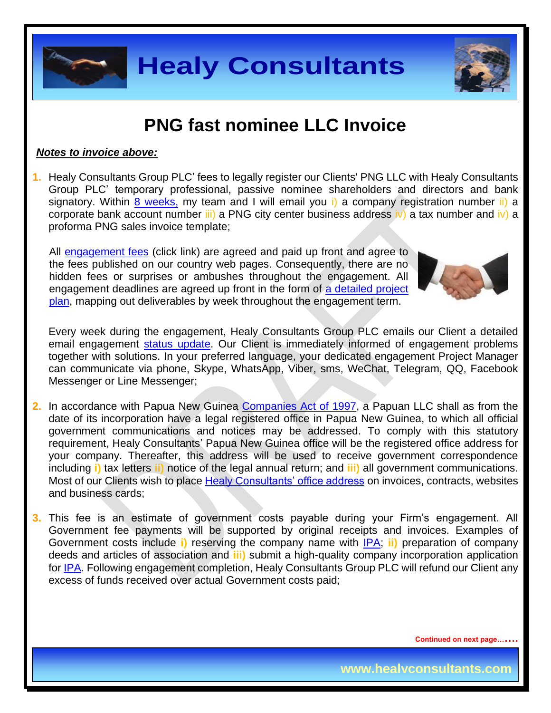

#### **PNG fast nominee LLC Invoice**

#### *Notes to invoice above:*

**1.** Healy Consultants Group PLC' fees to legally register our Clients' PNG LLC with Healy Consultants Group PLC' temporary professional, passive nominee shareholders and directors and bank signatory. Within [8 weeks,](http://www.healyconsultants.com/papua-new-guinea-company-registration/fees-timelines/#timelines) my team and I will email you i) a company registration number ii) a corporate bank account number  $\overline{iii}$  a PNG city center business address  $\overline{iv}$  a tax number and  $\overline{iv}$  a proforma PNG sales invoice template;

All [engagement fees](http://www.healyconsultants.com/company-registration-fees/) (click link) are agreed and paid up front and agree to the fees published on our country web pages. Consequently, there are no hidden fees or surprises or ambushes throughout the engagement. All engagement deadlines are agreed up front in the form of a detailed project [plan,](http://www.healyconsultants.com/index-important-links/example-project-plan/) mapping out deliverables by week throughout the engagement term.



Every week during the engagement, Healy Consultants Group PLC emails our Client a detailed email engagement [status update.](http://www.healyconsultants.com/index-important-links/weekly-engagement-status-email/) Our Client is immediately informed of engagement problems together with solutions. In your preferred language, your dedicated engagement Project Manager can communicate via phone, Skype, WhatsApp, Viber, sms, WeChat, Telegram, QQ, Facebook Messenger or Line Messenger;

- **2.** In accordance with Papua New Guinea [Companies Act of 1997,](http://www.wipo.int/wipolex/en/text.jsp?file_id=193906) a Papuan LLC shall as from the date of its incorporation have a legal registered office in Papua New Guinea, to which all official government communications and notices may be addressed. To comply with this statutory requirement, Healy Consultants' Papua New Guinea office will be the registered office address for your company. Thereafter, this address will be used to receive government correspondence including **i)** tax letters **ii)** notice of the legal annual return; and **iii)** all government communications. Most of our Clients wish to place [Healy Consultants' office address](http://www.healyconsultants.com/corporate-outsourcing-services/company-secretary-and-legal-registered-office/) on invoices, contracts, websites and business cards;
- **3.** This fee is an estimate of government costs payable during your Firm's engagement. All Government fee payments will be supported by original receipts and invoices. Examples of Government costs include **i)** reserving the company name with [IPA;](http://www.ipa.gov.pg/) **ii)** preparation of company deeds and articles of association and **iii)** submit a high-quality company incorporation application for [IPA.](http://www.ipa.gov.pg/) Following engagement completion, Healy Consultants Group PLC will refund our Client any excess of funds received over actual Government costs paid;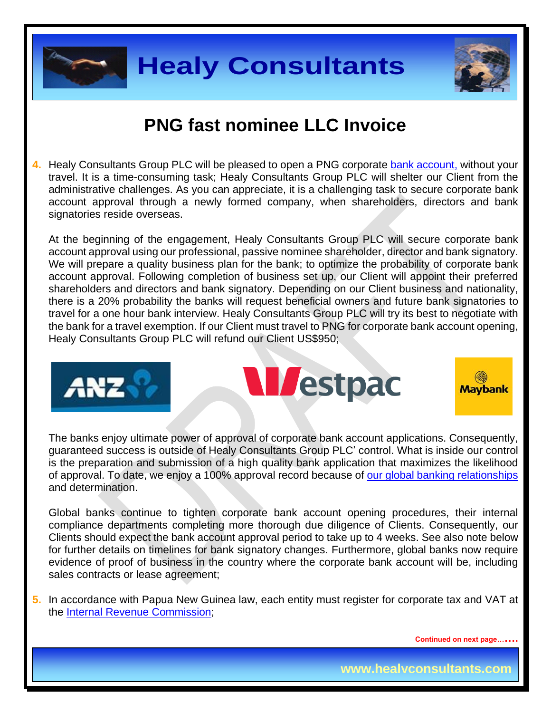



#### **PNG fast nominee LLC Invoice**

**4.** Healy Consultants Group PLC will be pleased to open a PNG corporate [bank account,](http://www.healyconsultants.com/papua-new-guinea-company-registration/banking/) without your travel. It is a time-consuming task; Healy Consultants Group PLC will shelter our Client from the administrative challenges. As you can appreciate, it is a challenging task to secure corporate bank account approval through a newly formed company, when shareholders, directors and bank signatories reside overseas.

At the beginning of the engagement, Healy Consultants Group PLC will secure corporate bank account approval using our professional, passive nominee shareholder, director and bank signatory. We will prepare a quality business plan for the bank; to optimize the probability of corporate bank account approval. Following completion of business set up, our Client will appoint their preferred shareholders and directors and bank signatory. Depending on our Client business and nationality, there is a 20% probability the banks will request beneficial owners and future bank signatories to travel for a one hour bank interview. Healy Consultants Group PLC will try its best to negotiate with the bank for a travel exemption. If our Client must travel to PNG for corporate bank account opening, Healy Consultants Group PLC will refund our Client US\$950;







The banks enjoy ultimate power of approval of corporate bank account applications. Consequently, guaranteed success is outside of Healy Consultants Group PLC' control. What is inside our control is the preparation and submission of a high quality bank application that maximizes the likelihood of approval. To date, we enjoy a 100% approval record because of [our global banking relationships](http://www.healyconsultants.com/international-banking/corporate-accounts/) and determination.

Global banks continue to tighten corporate bank account opening procedures, their internal compliance departments completing more thorough due diligence of Clients. Consequently, our Clients should expect the bank account approval period to take up to 4 weeks. See also note below for further details on timelines for bank signatory changes. Furthermore, global banks now require evidence of proof of business in the country where the corporate bank account will be, including sales contracts or lease agreement;

**5.** In accordance with Papua New Guinea law, each entity must register for corporate tax and VAT at the [Internal Revenue Commission;](http://www.irc.gov.pg/)

**Continued on next page…….**

**www.healyconsultants.com**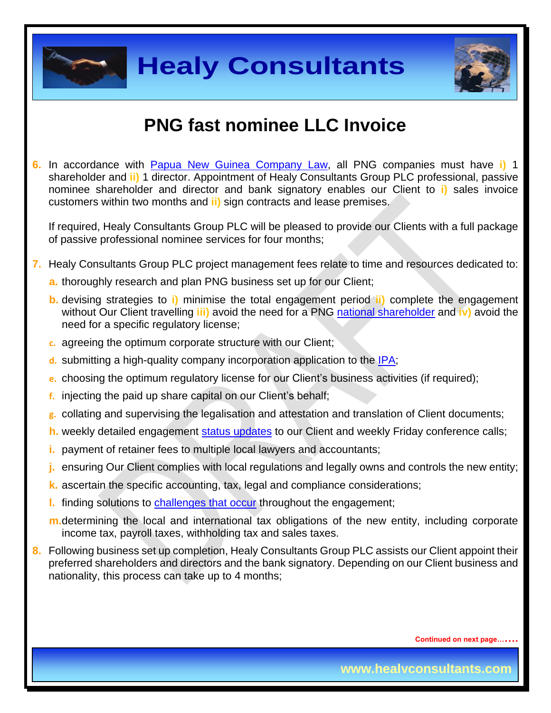



### **PNG fast nominee LLC Invoice**

**6.** In accordance with [Papua New Guinea Company](http://www.wipo.int/wipolex/en/text.jsp?file_id=199754) Law, all PNG companies must have **i)** 1 shareholder and **ii)** 1 director. Appointment of Healy Consultants Group PLC professional, passive nominee shareholder and director and bank signatory enables our Client to **i)** sales invoice customers within two months and **ii)** sign contracts and lease premises.

If required, Healy Consultants Group PLC will be pleased to provide our Clients with a full package of passive professional nominee services for four months;

- **7.** Healy Consultants Group PLC project management fees relate to time and resources dedicated to:
	- **a.** thoroughly research and plan PNG business set up for our Client;
	- **b.** devising strategies to **i)** minimise the total engagement period **ii)** complete the engagement without Our Client travelling **iii)** avoid the need for a PNG national [shareholder](http://www.healyconsultants.com/corporate-advisory-services/nominee-shareholders-directors/national-shareholder-services/) and **iv)** avoid the need for a specific regulatory license;
	- **c.** agreeing the optimum corporate structure with our Client;
	- **d.** submitting a high-quality company incorporation application to the [IPA;](http://www.ipa.gov.pg/)
	- **e.** choosing the optimum regulatory license for our Client's business activities (if required);
	- **f.** injecting the paid up share capital on our Client's behalf;
	- **g.** collating and supervising the legalisation and attestation and translation of Client documents;
	- **h.** weekly detailed engagement [status updates](http://www.healyconsultants.com/index-important-links/weekly-engagement-status-email/) to our Client and weekly Friday conference calls;
	- **i.** payment of retainer fees to multiple local lawyers and accountants;
	- **j.** ensuring Our Client complies with local regulations and legally owns and controls the new entity;
	- **k.** ascertain the specific accounting, tax, legal and compliance considerations;
	- **l.** finding solutions to [challenges that occur](http://www.healyconsultants.com/engagement-project-management/) throughout the engagement;
	- **m.**determining the local and international tax obligations of the new entity, including corporate income tax, payroll taxes, withholding tax and sales taxes.
- **8.** Following business set up completion, Healy Consultants Group PLC assists our Client appoint their preferred shareholders and directors and the bank signatory. Depending on our Client business and nationality, this process can take up to 4 months;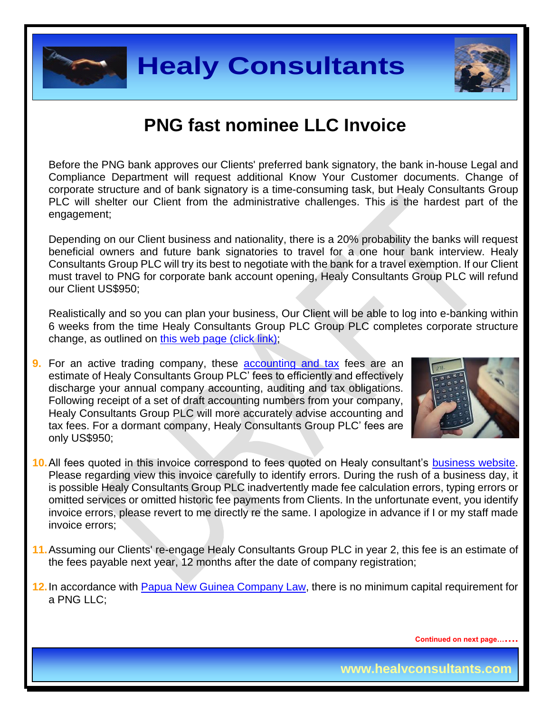



### **PNG fast nominee LLC Invoice**

Before the PNG bank approves our Clients' preferred bank signatory, the bank in-house Legal and Compliance Department will request additional Know Your Customer documents. Change of corporate structure and of bank signatory is a time-consuming task, but Healy Consultants Group PLC will shelter our Client from the administrative challenges. This is the hardest part of the engagement;

Depending on our Client business and nationality, there is a 20% probability the banks will request beneficial owners and future bank signatories to travel for a one hour bank interview. Healy Consultants Group PLC will try its best to negotiate with the bank for a travel exemption. If our Client must travel to PNG for corporate bank account opening, Healy Consultants Group PLC will refund our Client US\$950;

Realistically and so you can plan your business, Our Client will be able to log into e-banking within 6 weeks from the time Healy Consultants Group PLC Group PLC completes corporate structure change, as outlined on [this web page \(click link\);](http://www.healyconsultants.com/south-africa-company-registration/turnkey-solutions/)

**9.** For an active trading company, these [accounting and tax](http://www.healyconsultants.com/accounting-and-tax/) fees are an estimate of Healy Consultants Group PLC' fees to efficiently and effectively discharge your annual company accounting, auditing and tax obligations. Following receipt of a set of draft accounting numbers from your company, Healy Consultants Group PLC will more accurately advise accounting and tax fees. For a dormant company, Healy Consultants Group PLC' fees are only US\$950;



- **10.**All fees quoted in this invoice correspond to fees quoted on Healy consultant's [business website.](http://www.healyconsultants.com/india-company-registration/) Please regarding view this invoice carefully to identify errors. During the rush of a business day, it is possible Healy Consultants Group PLC inadvertently made fee calculation errors, typing errors or omitted services or omitted historic fee payments from Clients. In the unfortunate event, you identify invoice errors, please revert to me directly re the same. I apologize in advance if I or my staff made invoice errors;
- **11.**Assuming our Clients' re-engage Healy Consultants Group PLC in year 2, this fee is an estimate of the fees payable next year, 12 months after the date of company registration;
- **12.**In accordance with [Papua New Guinea Company](http://www.wipo.int/wipolex/en/text.jsp?file_id=199754) Law, there is no minimum capital requirement for a PNG LLC;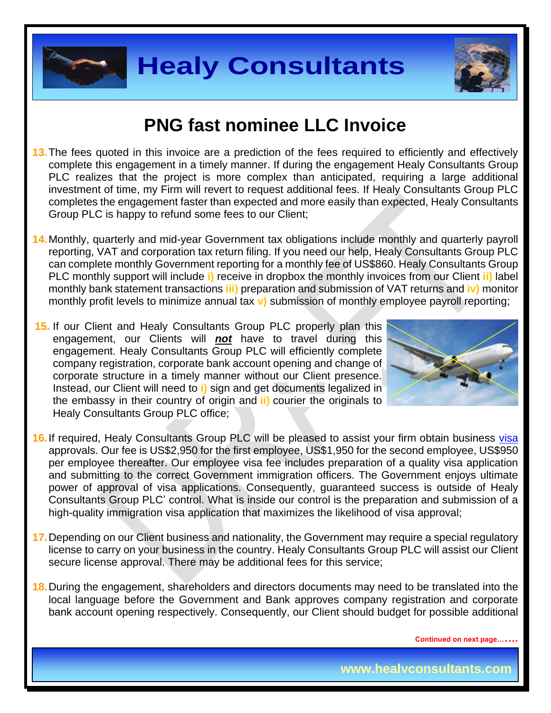



#### **PNG fast nominee LLC Invoice**

- 13. The fees quoted in this invoice are a prediction of the fees required to efficiently and effectively complete this engagement in a timely manner. If during the engagement Healy Consultants Group PLC realizes that the project is more complex than anticipated, requiring a large additional investment of time, my Firm will revert to request additional fees. If Healy Consultants Group PLC completes the engagement faster than expected and more easily than expected, Healy Consultants Group PLC is happy to refund some fees to our Client;
- **14.**Monthly, quarterly and mid-year Government tax obligations include monthly and quarterly payroll reporting, VAT and corporation tax return filing. If you need our help, Healy Consultants Group PLC can complete monthly Government reporting for a monthly fee of US\$860. Healy Consultants Group PLC monthly support will include **i)** receive in dropbox the monthly invoices from our Client **ii)** label monthly bank statement transactions **iii)** preparation and submission of VAT returns and **iv)** monitor monthly profit levels to minimize annual tax **v)** submission of monthly employee payroll reporting;
- **15.** If our Client and Healy Consultants Group PLC properly plan this engagement, our Clients will *not* have to travel during this engagement. Healy Consultants Group PLC will efficiently complete company registration, corporate bank account opening and change of corporate structure in a timely manner without our Client presence. Instead, our Client will need to **i)** sign and get documents legalized in the embassy in their country of origin and **ii)** courier the originals to Healy Consultants Group PLC office;



- **16.**If required, Healy Consultants Group PLC will be pleased to assist your firm obtain business [visa](http://www.healyconsultants.com/papua-new-guinea-company-registration/formation-support-services/)  approvals. Our fee is US\$2,950 for the first employee, US\$1,950 for the second employee, US\$950 per employee thereafter. Our employee visa fee includes preparation of a quality visa application and submitting to the correct Government immigration officers. The Government enjoys ultimate power of approval of visa applications. Consequently, guaranteed success is outside of Healy Consultants Group PLC' control. What is inside our control is the preparation and submission of a high-quality immigration visa application that maximizes the likelihood of visa approval;
- **17.**Depending on our Client business and nationality, the Government may require a special regulatory license to carry on your business in the country. Healy Consultants Group PLC will assist our Client secure license approval. There may be additional fees for this service;
- **18.**During the engagement, shareholders and directors documents may need to be translated into the local language before the Government and Bank approves company registration and corporate bank account opening respectively. Consequently, our Client should budget for possible additional

**Continued on next page…….**

**www.healyconsultants.com**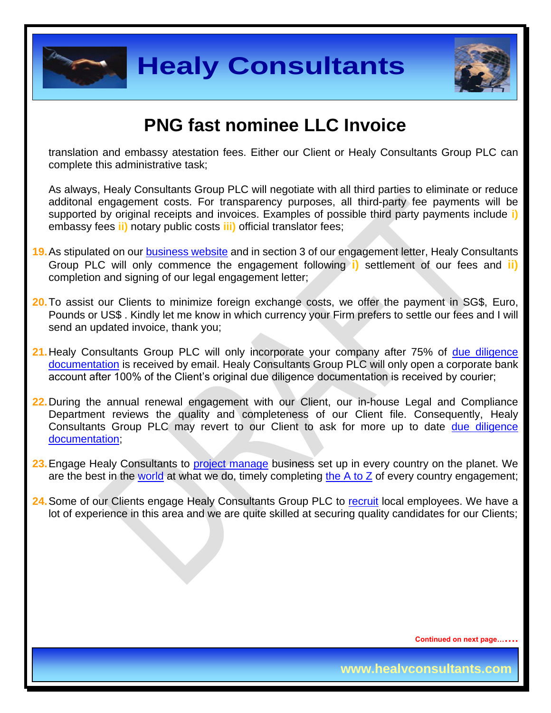



#### **PNG fast nominee LLC Invoice**

translation and embassy atestation fees. Either our Client or Healy Consultants Group PLC can complete this administrative task;

As always, Healy Consultants Group PLC will negotiate with all third parties to eliminate or reduce additonal engagement costs. For transparency purposes, all third-party fee payments will be supported by original receipts and invoices. Examples of possible third party payments include **i)** embassy fees **ii)** notary public costs **iii)** official translator fees;

- **19.**As stipulated on our [business website](http://www.healyconsultants.com/) and in section 3 of our engagement letter, Healy Consultants Group PLC will only commence the engagement following **i)** settlement of our fees and **ii)** completion and signing of our legal engagement letter;
- **20.**To assist our Clients to minimize foreign exchange costs, we offer the payment in SG\$, Euro, Pounds or US\$ . Kindly let me know in which currency your Firm prefers to settle our fees and I will send an updated invoice, thank you;
- **21.**Healy Consultants Group PLC will only incorporate your company after 75% of [due diligence](http://www.healyconsultants.com/due-diligence/)  [documentation](http://www.healyconsultants.com/due-diligence/) is received by email. Healy Consultants Group PLC will only open a corporate bank account after 100% of the Client's original due diligence documentation is received by courier;
- **22.**During the annual renewal engagement with our Client, our in-house Legal and Compliance Department reviews the quality and completeness of our Client file. Consequently, Healy Consultants Group PLC may revert to our Client to ask for more up to date [due diligence](http://www.healyconsultants.com/due-diligence/)  [documentation;](http://www.healyconsultants.com/due-diligence/)
- 23. Engage Healy Consultants to [project manage](http://www.healyconsultants.com/project-manage-engagements/) business set up in every country on the planet. We are the best in the [world](http://www.healyconsultants.com/best-in-the-world/) at what we do, timely completing the  $A$  to  $Z$  of every country engagement;
- **24.**Some of our Clients engage Healy Consultants Group PLC to [recruit](http://www.healyconsultants.com/corporate-outsourcing-services/how-we-help-our-clients-recruit-quality-employees/) local employees. We have a lot of experience in this area and we are quite skilled at securing quality candidates for our Clients;